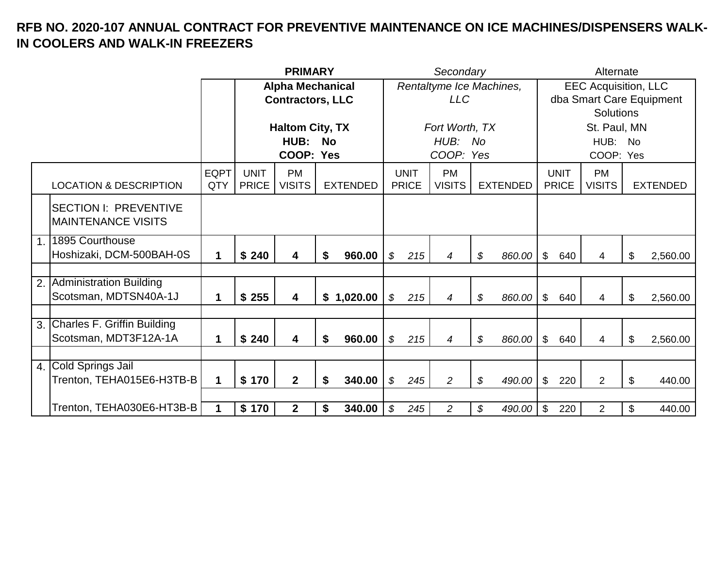|     |                                    |             |              | <b>PRIMARY</b>          |                         |                            |              | Secondary                |                 |                |              | Alternate                   |                          |
|-----|------------------------------------|-------------|--------------|-------------------------|-------------------------|----------------------------|--------------|--------------------------|-----------------|----------------|--------------|-----------------------------|--------------------------|
|     |                                    |             |              |                         | <b>Alpha Mechanical</b> |                            |              | Rentaltyme Ice Machines, |                 |                |              | <b>EEC Acquisition, LLC</b> |                          |
|     |                                    |             |              | <b>Contractors, LLC</b> |                         |                            |              | LLC                      |                 |                |              |                             | dba Smart Care Equipment |
|     |                                    |             |              |                         |                         |                            |              |                          |                 |                |              | <b>Solutions</b>            |                          |
|     |                                    |             |              | <b>Haltom City, TX</b>  |                         |                            |              | Fort Worth, TX           |                 |                |              | St. Paul, MN                |                          |
|     |                                    |             |              | HUB:                    | <b>No</b>               |                            |              | HUB: No                  |                 |                |              | HUB: No                     |                          |
|     |                                    |             |              | COOP: Yes               |                         |                            |              | COOP: Yes                |                 |                |              | COOP: Yes                   |                          |
|     |                                    | <b>EQPT</b> | <b>UNIT</b>  | <b>PM</b>               |                         |                            | <b>UNIT</b>  | <b>PM</b>                |                 |                | <b>UNIT</b>  | <b>PM</b>                   |                          |
|     | <b>LOCATION &amp; DESCRIPTION</b>  | QTY         | <b>PRICE</b> | <b>VISITS</b>           | <b>EXTENDED</b>         |                            | <b>PRICE</b> | <b>VISITS</b>            | <b>EXTENDED</b> |                | <b>PRICE</b> | <b>VISITS</b>               | <b>EXTENDED</b>          |
|     | <b>SECTION I: PREVENTIVE</b>       |             |              |                         |                         |                            |              |                          |                 |                |              |                             |                          |
|     | IMAINTENANCE VISITS                |             |              |                         |                         |                            |              |                          |                 |                |              |                             |                          |
| 1.1 | 1895 Courthouse                    |             |              |                         |                         |                            |              |                          |                 |                |              |                             |                          |
|     | Hoshizaki, DCM-500BAH-0S           | 1           | \$240        | $\overline{\mathbf{4}}$ | 960.00<br>S             | $\mathcal{L}$              | 215          | 4                        | \$<br>860.00    | $\mathfrak{L}$ | 640          | 4                           | \$<br>2,560.00           |
|     |                                    |             |              |                         |                         |                            |              |                          |                 |                |              |                             |                          |
| 2.  | Administration Building            |             |              |                         |                         |                            |              |                          |                 |                |              |                             |                          |
|     | Scotsman, MDTSN40A-1J              | 1           | \$255        | $\overline{\mathbf{4}}$ | \$1,020.00              | $\boldsymbol{\mathcal{S}}$ | 215          | 4                        | \$<br>860.00    | $\mathfrak{S}$ | 640          | 4                           | \$<br>2,560.00           |
|     |                                    |             |              |                         |                         |                            |              |                          |                 |                |              |                             |                          |
| 3.  | <b>Charles F. Griffin Building</b> |             |              |                         |                         |                            |              |                          |                 |                |              |                             |                          |
|     | Scotsman, MDT3F12A-1A              | 1           | \$240        | $\overline{\mathbf{4}}$ | 960.00<br>S             | \$                         | 215          | $\overline{4}$           | \$<br>860.00    | $\mathfrak{L}$ | 640          | 4                           | \$<br>2,560.00           |
|     |                                    |             |              |                         |                         |                            |              |                          |                 |                |              |                             |                          |
| 4.1 | Cold Springs Jail                  |             |              |                         |                         |                            |              |                          |                 |                |              |                             |                          |
|     | Trenton, TEHA015E6-H3TB-B          | 1           | \$170        | 2 <sup>1</sup>          | 340.00<br>\$            | \$                         | 245          | $\overline{2}$           | \$<br>490.00    | $\frac{1}{2}$  | 220          | $\overline{2}$              | \$<br>440.00             |
|     |                                    |             |              |                         |                         |                            |              |                          |                 |                |              |                             |                          |
|     | Trenton, TEHA030E6-HT3B-B          | 1           | \$170        | $\mathbf{2}$            | 340.00<br>\$            | \$                         | 245          | $\overline{a}$           | \$<br>490.00    | \$             | 220          | $\overline{2}$              | \$<br>440.00             |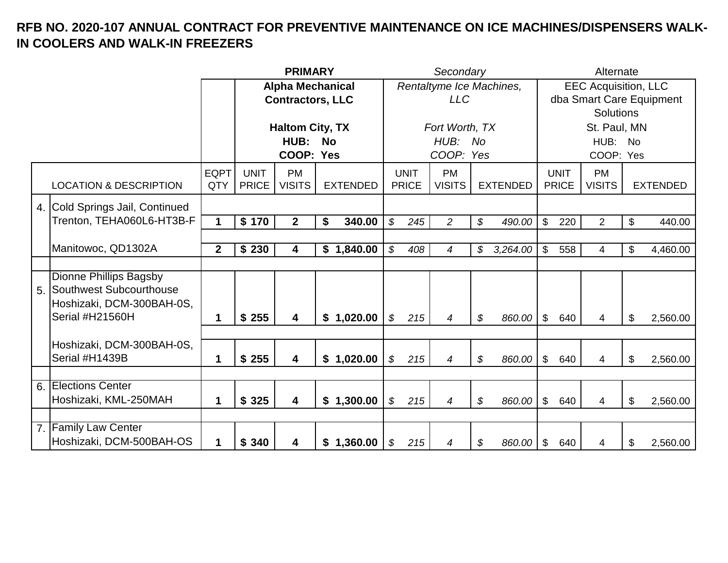|                |                                                                                                   |                    |                             | <b>PRIMARY</b>             |                 |                            |                             | Secondary                  |                 |                |                             | Alternate                   |       |                          |
|----------------|---------------------------------------------------------------------------------------------------|--------------------|-----------------------------|----------------------------|-----------------|----------------------------|-----------------------------|----------------------------|-----------------|----------------|-----------------------------|-----------------------------|-------|--------------------------|
|                |                                                                                                   |                    |                             | <b>Alpha Mechanical</b>    |                 |                            |                             | Rentaltyme Ice Machines,   |                 |                |                             | <b>EEC Acquisition, LLC</b> |       |                          |
|                |                                                                                                   |                    |                             | <b>Contractors, LLC</b>    |                 |                            |                             | <b>LLC</b>                 |                 |                |                             |                             |       | dba Smart Care Equipment |
|                |                                                                                                   |                    |                             |                            |                 |                            |                             |                            |                 |                |                             | <b>Solutions</b>            |       |                          |
|                |                                                                                                   |                    |                             | <b>Haltom City, TX</b>     |                 |                            |                             | Fort Worth, TX             |                 |                |                             | St. Paul, MN                |       |                          |
|                |                                                                                                   |                    |                             | HUB:                       | <b>No</b>       |                            |                             | HUB: No                    |                 |                |                             | HUB: No                     |       |                          |
|                |                                                                                                   |                    |                             | COOP: Yes                  |                 |                            |                             | COOP: Yes                  |                 |                |                             | COOP: Yes                   |       |                          |
|                | <b>LOCATION &amp; DESCRIPTION</b>                                                                 | <b>EQPT</b><br>QTY | <b>UNIT</b><br><b>PRICE</b> | <b>PM</b><br><b>VISITS</b> | <b>EXTENDED</b> |                            | <b>UNIT</b><br><b>PRICE</b> | <b>PM</b><br><b>VISITS</b> | <b>EXTENDED</b> |                | <b>UNIT</b><br><b>PRICE</b> | <b>PM</b><br><b>VISITS</b>  |       | <b>EXTENDED</b>          |
|                | 4. Cold Springs Jail, Continued                                                                   |                    |                             |                            |                 |                            |                             |                            |                 |                |                             |                             |       |                          |
|                | Trenton, TEHA060L6-HT3B-F                                                                         | $\mathbf 1$        | \$170                       | $\mathbf{2}$               | 340.00<br>\$    | \$                         | 245                         | $\overline{a}$             | \$<br>490.00    | $\mathfrak{S}$ | 220                         | $\overline{2}$              | $\$\$ | 440.00                   |
|                |                                                                                                   |                    |                             |                            |                 |                            |                             |                            |                 |                |                             |                             |       |                          |
|                | Manitowoc, QD1302A                                                                                | $\overline{2}$     | \$230                       | 4                          | \$1,840.00      | $\mathcal{S}$              | 408                         | 4                          | \$<br>3,264.00  | $\mathfrak{S}$ | 558                         | 4                           | \$    | 4,460.00                 |
|                |                                                                                                   |                    |                             |                            |                 |                            |                             |                            |                 |                |                             |                             |       |                          |
| 5 <sub>1</sub> | Dionne Phillips Bagsby<br>Southwest Subcourthouse<br>Hoshizaki, DCM-300BAH-0S,<br>Serial #H21560H | 1                  | \$255                       | 4                          | \$1,020.00      | $\boldsymbol{\mathcal{S}}$ | 215                         | 4                          | \$<br>860.00    | $\mathfrak{S}$ | 640                         | 4                           | \$    | 2,560.00                 |
|                |                                                                                                   |                    |                             |                            |                 |                            |                             |                            |                 |                |                             |                             |       |                          |
|                | Hoshizaki, DCM-300BAH-0S,<br>Serial #H1439B                                                       | 1                  | \$255                       | $\overline{\mathbf{4}}$    | \$1,020.00      | $\boldsymbol{\mathcal{S}}$ | 215                         | $\overline{4}$             | \$<br>860.00    | $\mathfrak{S}$ | 640                         | $\overline{4}$              | \$    | 2,560.00                 |
|                |                                                                                                   |                    |                             |                            |                 |                            |                             |                            |                 |                |                             |                             |       |                          |
| 6.             | <b>Elections Center</b><br>Hoshizaki, KML-250MAH                                                  | 1                  | \$325                       | $\overline{\mathbf{4}}$    | \$1,300.00      | \$                         | 215                         | 4                          | \$<br>860.00    | \$             | 640                         | 4                           | \$    | 2,560.00                 |
|                | 7. Family Law Center                                                                              |                    |                             |                            |                 |                            |                             |                            |                 |                |                             |                             |       |                          |
|                | Hoshizaki, DCM-500BAH-OS                                                                          | 1                  | \$340                       | 4                          | \$1,360.00      | \$                         | 215                         | 4                          | \$<br>860.00    | \$             | 640                         | 4                           | \$    | 2,560.00                 |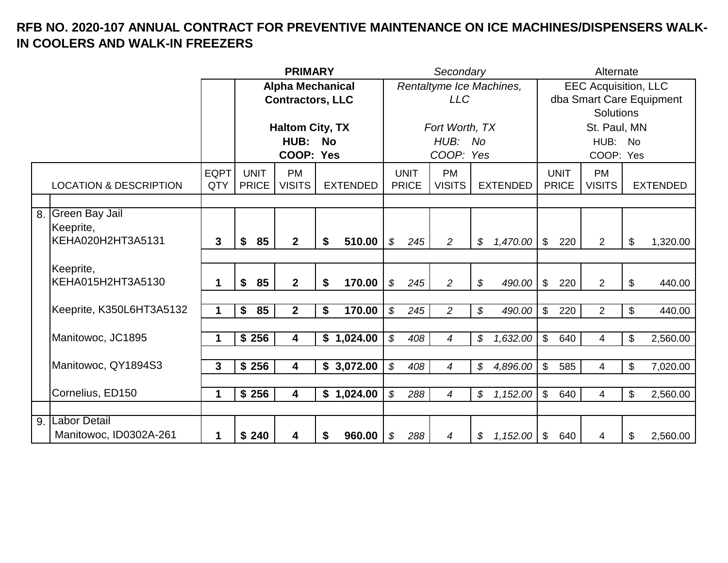|    |                                               |             |              | <b>PRIMARY</b>          |           |                 |                            | Secondary    |                          |                            |                 |                           | Alternate    |                             |               |                          |
|----|-----------------------------------------------|-------------|--------------|-------------------------|-----------|-----------------|----------------------------|--------------|--------------------------|----------------------------|-----------------|---------------------------|--------------|-----------------------------|---------------|--------------------------|
|    |                                               |             |              | <b>Alpha Mechanical</b> |           |                 |                            |              | Rentaltyme Ice Machines, |                            |                 |                           |              | <b>EEC Acquisition, LLC</b> |               |                          |
|    |                                               |             |              | <b>Contractors, LLC</b> |           |                 |                            |              | <b>LLC</b>               |                            |                 |                           |              |                             |               | dba Smart Care Equipment |
|    |                                               |             |              |                         |           |                 |                            |              |                          |                            |                 |                           |              | <b>Solutions</b>            |               |                          |
|    |                                               |             |              | <b>Haltom City, TX</b>  |           |                 |                            |              | Fort Worth, TX           |                            |                 |                           |              | St. Paul, MN                |               |                          |
|    |                                               |             |              | HUB:                    | <b>No</b> |                 |                            |              | HUB: No                  |                            |                 |                           |              | HUB: No                     |               |                          |
|    |                                               |             |              | COOP: Yes               |           |                 |                            |              | COOP: Yes                |                            |                 |                           |              | COOP: Yes                   |               |                          |
|    |                                               | <b>EQPT</b> | <b>UNIT</b>  | <b>PM</b>               |           |                 |                            | <b>UNIT</b>  | <b>PM</b>                |                            |                 |                           | <b>UNIT</b>  | <b>PM</b>                   |               |                          |
|    | <b>LOCATION &amp; DESCRIPTION</b>             | QTY         | <b>PRICE</b> | <b>VISITS</b>           |           | <b>EXTENDED</b> |                            | <b>PRICE</b> | <b>VISITS</b>            |                            | <b>EXTENDED</b> |                           | <b>PRICE</b> | <b>VISITS</b>               |               | <b>EXTENDED</b>          |
|    |                                               |             |              |                         |           |                 |                            |              |                          |                            |                 |                           |              |                             |               |                          |
| 8. | <b>Green Bay Jail</b><br>Keeprite,            |             |              |                         |           |                 |                            |              |                          |                            |                 |                           |              |                             |               |                          |
|    | KEHA020H2HT3A5131                             | 3           | 85<br>\$     | 2 <sup>1</sup>          | \$        | 510.00          | \$                         | 245          | $\overline{2}$           | \$                         | 1,470.00        | $\mathfrak{S}$            | 220          | $\overline{2}$              | $\mathcal{L}$ | 1,320.00                 |
|    |                                               |             |              |                         |           |                 |                            |              |                          |                            |                 |                           |              |                             |               |                          |
|    | Keeprite,                                     |             |              |                         |           |                 |                            |              |                          |                            |                 |                           |              |                             |               |                          |
|    | KEHA015H2HT3A5130                             | 1           | 85<br>\$     | 2 <sup>1</sup>          | \$        | 170.00          | \$                         | 245          | $\overline{a}$           | \$                         | 490.00          | $\mathcal{L}$             | 220          | $\overline{2}$              | \$            | 440.00                   |
|    |                                               |             |              |                         |           |                 |                            |              |                          |                            |                 |                           |              |                             |               |                          |
|    | Keeprite, K350L6HT3A5132                      |             | \$<br>85     | $\overline{2}$          | \$        | 170.00          | $\mathcal{S}$              | 245          | $\overline{a}$           | \$                         | 490.00          | \$                        | 220          | $\overline{2}$              | $\mathbb{S}$  | 440.00                   |
|    |                                               |             |              |                         |           |                 |                            |              |                          |                            |                 |                           |              |                             |               |                          |
|    | Manitowoc, JC1895                             | 1           | \$256        | $\overline{\mathbf{4}}$ |           | \$1,024.00      | $\boldsymbol{\mathcal{S}}$ | 408          | $\overline{4}$           | \$                         | 1,632.00        | $\mathfrak{L}$            | 640          | $\overline{4}$              | \$            | 2,560.00                 |
|    |                                               |             |              |                         |           |                 |                            |              |                          |                            |                 |                           |              |                             |               |                          |
|    | Manitowoc, QY1894S3                           | 3           | \$256        | 4                       |           | \$3,072.00      | $\boldsymbol{\mathcal{S}}$ | 408          | 4                        | $\boldsymbol{\mathcal{S}}$ | 4,896.00        | $\mathfrak{S}$            | 585          | $\overline{4}$              | \$            | 7,020.00                 |
|    |                                               |             |              |                         |           |                 |                            |              |                          |                            |                 |                           |              |                             |               |                          |
|    | Cornelius, ED150                              | 1           | \$256        | 4                       |           | \$1,024.00      | $\boldsymbol{\mathcal{S}}$ | 288          | 4                        | \$                         | 1,152.00        | $\mathfrak{L}$            | 640          | 4                           | \$            | 2,560.00                 |
|    |                                               |             |              |                         |           |                 |                            |              |                          |                            |                 |                           |              |                             |               |                          |
| 9. | <b>Labor Detail</b><br>Manitowoc, ID0302A-261 | 1           | \$240        | 4                       | \$        | 960.00          | \$                         | 288          | 4                        | \$                         | 1,152.00        | $\boldsymbol{\mathsf{S}}$ | 640          | 4                           | \$            | 2,560.00                 |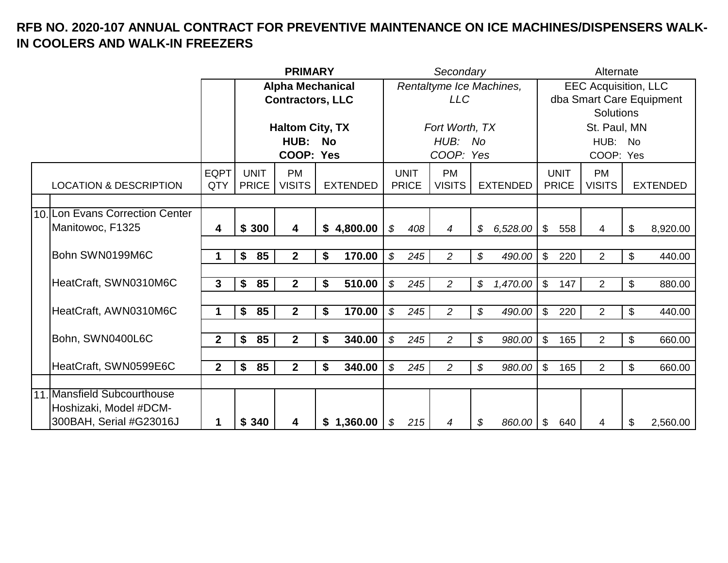|                                                   |                    |                             | <b>PRIMARY</b>             |           |                 |                            |                             | Secondary                  |                            |                 |                |                             | Alternate                   |                           |                          |
|---------------------------------------------------|--------------------|-----------------------------|----------------------------|-----------|-----------------|----------------------------|-----------------------------|----------------------------|----------------------------|-----------------|----------------|-----------------------------|-----------------------------|---------------------------|--------------------------|
|                                                   |                    |                             | <b>Alpha Mechanical</b>    |           |                 |                            |                             | Rentaltyme Ice Machines,   |                            |                 |                |                             | <b>EEC Acquisition, LLC</b> |                           |                          |
|                                                   |                    |                             | <b>Contractors, LLC</b>    |           |                 |                            |                             | <b>LLC</b>                 |                            |                 |                |                             |                             |                           | dba Smart Care Equipment |
|                                                   |                    |                             |                            |           |                 |                            |                             |                            |                            |                 |                |                             | <b>Solutions</b>            |                           |                          |
|                                                   |                    |                             | <b>Haltom City, TX</b>     |           |                 |                            |                             | Fort Worth, TX             |                            |                 |                |                             | St. Paul, MN                |                           |                          |
|                                                   |                    |                             | <b>HUB:</b>                | <b>No</b> |                 |                            |                             | HUB: No                    |                            |                 |                |                             | HUB: No                     |                           |                          |
|                                                   |                    |                             | COOP: Yes                  |           |                 |                            |                             | COOP: Yes                  |                            |                 |                |                             | COOP: Yes                   |                           |                          |
| <b>LOCATION &amp; DESCRIPTION</b>                 | <b>EQPT</b><br>QTY | <b>UNIT</b><br><b>PRICE</b> | <b>PM</b><br><b>VISITS</b> |           | <b>EXTENDED</b> |                            | <b>UNIT</b><br><b>PRICE</b> | <b>PM</b><br><b>VISITS</b> |                            | <b>EXTENDED</b> |                | <b>UNIT</b><br><b>PRICE</b> | <b>PM</b><br><b>VISITS</b>  |                           | <b>EXTENDED</b>          |
|                                                   |                    |                             |                            |           |                 |                            |                             |                            |                            |                 |                |                             |                             |                           |                          |
| 10. Lon Evans Correction Center                   |                    |                             |                            |           |                 |                            |                             |                            |                            |                 |                |                             |                             |                           |                          |
| Manitowoc, F1325                                  | 4                  | \$300                       | 4                          |           | \$4,800.00      | \$                         | 408                         | 4                          | \$                         | 6,528.00        | $\mathfrak{S}$ | 558                         | 4                           | \$                        | 8,920.00                 |
|                                                   |                    |                             |                            |           |                 |                            |                             |                            |                            |                 |                |                             |                             |                           |                          |
| Bohn SWN0199M6C                                   | 1                  | 85<br>\$                    | 2 <sup>1</sup>             | \$        | 170.00          | $\mathcal{S}$              | 245                         | $\overline{a}$             | \$                         | 490.00          | $\mathfrak{S}$ | 220                         | $\overline{2}$              | \$                        | 440.00                   |
|                                                   |                    |                             |                            |           |                 |                            |                             |                            |                            |                 |                |                             |                             |                           |                          |
| HeatCraft, SWN0310M6C                             | 3                  | 85<br>\$                    | $\overline{2}$             | \$        | 510.00          | $\boldsymbol{\mathcal{S}}$ | 245                         | $\overline{c}$             | \$                         | 1,470.00        | $\sqrt[6]{}$   | 147                         | $\overline{2}$              | $\boldsymbol{\mathsf{S}}$ | 880.00                   |
| HeatCraft, AWN0310M6C                             | 1                  | 85<br>\$                    | $\overline{2}$             | \$        | 170.00          | $\mathcal{L}$              | 245                         | $\overline{c}$             | \$                         |                 | $\mathfrak{S}$ | 220                         | $\overline{2}$              | $\boldsymbol{\mathsf{S}}$ |                          |
|                                                   |                    |                             |                            |           |                 |                            |                             |                            |                            | 490.00          |                |                             |                             |                           | 440.00                   |
| Bohn, SWN0400L6C                                  | $\overline{2}$     | 85<br>\$                    | 2 <sup>1</sup>             | \$        | 340.00          | $\boldsymbol{\mathcal{S}}$ | 245                         | $\overline{2}$             | $\boldsymbol{\mathcal{S}}$ | 980.00          | $\mathfrak{S}$ | 165                         | $\overline{2}$              | $\mathbb{S}$              | 660.00                   |
|                                                   |                    |                             |                            |           |                 |                            |                             |                            |                            |                 |                |                             |                             |                           |                          |
| HeatCraft, SWN0599E6C                             | $\mathbf{2}$       | \$<br>85                    | 2 <sup>1</sup>             | \$        | 340.00          | $\boldsymbol{\mathcal{S}}$ | 245                         | $\overline{a}$             | \$                         | 980.00          | $\mathfrak{L}$ | 165                         | $\overline{2}$              | \$                        | 660.00                   |
|                                                   |                    |                             |                            |           |                 |                            |                             |                            |                            |                 |                |                             |                             |                           |                          |
| 11. Mansfield Subcourthouse                       |                    |                             |                            |           |                 |                            |                             |                            |                            |                 |                |                             |                             |                           |                          |
| Hoshizaki, Model #DCM-<br>300BAH, Serial #G23016J | 1                  | \$340                       | 4                          |           | \$1,360.00      | \$                         | 215                         | 4                          | \$                         | 860.00          | $\sqrt[6]{3}$  | 640                         | 4                           | \$                        | 2,560.00                 |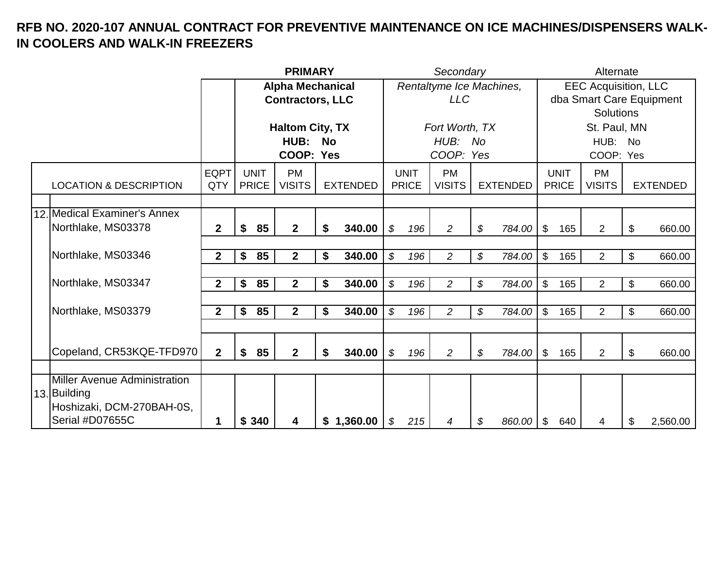|                                                                                                     |                    |                             | <b>PRIMARY</b>             |    |                 |                            | Secondary                   |                            |                 |                | Alternate                   |                             |                          |
|-----------------------------------------------------------------------------------------------------|--------------------|-----------------------------|----------------------------|----|-----------------|----------------------------|-----------------------------|----------------------------|-----------------|----------------|-----------------------------|-----------------------------|--------------------------|
|                                                                                                     |                    |                             | <b>Alpha Mechanical</b>    |    |                 |                            |                             | Rentaltyme Ice Machines,   |                 |                |                             | <b>EEC Acquisition, LLC</b> |                          |
|                                                                                                     |                    |                             | <b>Contractors, LLC</b>    |    |                 |                            |                             | <b>LLC</b>                 |                 |                |                             |                             | dba Smart Care Equipment |
|                                                                                                     |                    |                             |                            |    |                 |                            |                             |                            |                 |                |                             | <b>Solutions</b>            |                          |
|                                                                                                     |                    |                             | <b>Haltom City, TX</b>     |    |                 |                            |                             | Fort Worth, TX             |                 |                |                             | St. Paul, MN                |                          |
|                                                                                                     |                    |                             | HUB: No                    |    |                 |                            |                             | HUB: No                    |                 |                |                             | HUB: No                     |                          |
|                                                                                                     |                    |                             | COOP: Yes                  |    |                 |                            |                             | COOP: Yes                  |                 |                |                             | COOP: Yes                   |                          |
| <b>LOCATION &amp; DESCRIPTION</b>                                                                   | <b>EQPT</b><br>QTY | <b>UNIT</b><br><b>PRICE</b> | <b>PM</b><br><b>VISITS</b> |    | <b>EXTENDED</b> |                            | <b>UNIT</b><br><b>PRICE</b> | <b>PM</b><br><b>VISITS</b> | <b>EXTENDED</b> |                | <b>UNIT</b><br><b>PRICE</b> | <b>PM</b><br><b>VISITS</b>  | <b>EXTENDED</b>          |
|                                                                                                     |                    |                             |                            |    |                 |                            |                             |                            |                 |                |                             |                             |                          |
| 12. Medical Examiner's Annex                                                                        |                    |                             |                            |    |                 |                            |                             |                            |                 |                |                             |                             |                          |
| Northlake, MS03378                                                                                  | $\overline{2}$     | \$<br>85                    | 2 <sup>1</sup>             | \$ | 340.00          | \$                         | 196                         | $\overline{2}$             | \$<br>784.00    | $\mathfrak{S}$ | 165                         | 2                           | \$<br>660.00             |
|                                                                                                     |                    |                             |                            |    |                 |                            |                             |                            |                 |                |                             |                             |                          |
| Northlake, MS03346                                                                                  | $\overline{2}$     | 85<br>\$                    | $\mathbf{2}$               | \$ | 340.00          | $\boldsymbol{\mathcal{S}}$ | 196                         | $\overline{a}$             | \$<br>784.00    | \$             | 165                         | $\overline{2}$              | \$<br>660.00             |
|                                                                                                     |                    |                             |                            |    |                 |                            |                             |                            |                 |                |                             |                             |                          |
| Northlake, MS03347                                                                                  | $\mathbf{2}$       | \$<br>85                    | $\mathbf{2}$               | \$ | 340.00          | \$                         | 196                         | $\overline{c}$             | \$<br>784.00    | $\mathfrak{S}$ | 165                         | $\overline{2}$              | \$<br>660.00             |
|                                                                                                     |                    |                             |                            |    |                 |                            |                             |                            |                 |                |                             |                             |                          |
| Northlake, MS03379                                                                                  | $\overline{2}$     | 85<br>\$                    | $\mathbf{2}$               | \$ | 340.00          | $\boldsymbol{\mathcal{S}}$ | 196                         | $\overline{c}$             | \$<br>784.00    | $\mathfrak{S}$ | 165                         | $\overline{2}$              | \$<br>660.00             |
|                                                                                                     |                    |                             |                            |    |                 |                            |                             |                            |                 |                |                             |                             |                          |
| Copeland, CR53KQE-TFD970                                                                            | $\mathbf{2}$       | \$<br>85                    | 2 <sup>1</sup>             | \$ | 340.00          | \$                         | 196                         | $\overline{2}$             | \$<br>784.00    | $\mathfrak{S}$ | 165                         | $\overline{2}$              | \$<br>660.00             |
|                                                                                                     |                    |                             |                            |    |                 |                            |                             |                            |                 |                |                             |                             |                          |
| <b>Miller Avenue Administration</b><br>13. Building<br>Hoshizaki, DCM-270BAH-0S,<br>Serial #D07655C | 1                  | 340<br>\$                   | 4                          |    | \$1,360.00      | \$                         | 215                         | 4                          | \$<br>860.00    | \$             | 640                         | 4                           | \$<br>2,560.00           |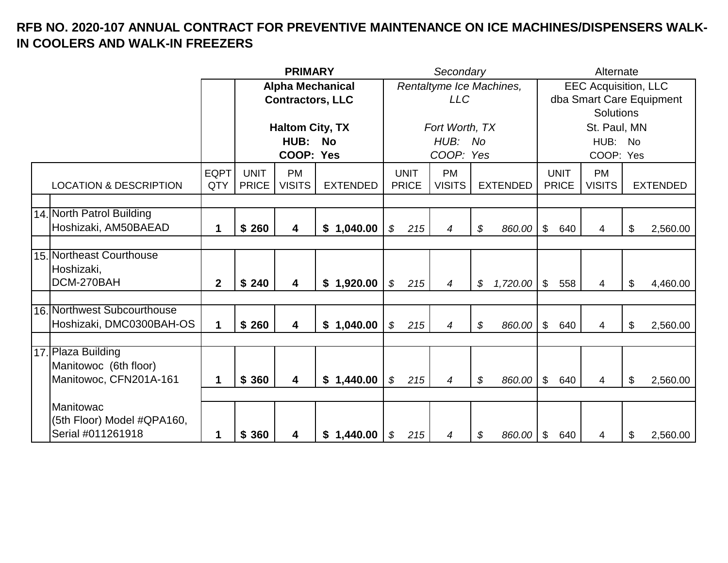|                                                                       |                    |                             | <b>PRIMARY</b>             |                         |                             | Secondary                  |                 |                           |                             | Alternate                   |                          |
|-----------------------------------------------------------------------|--------------------|-----------------------------|----------------------------|-------------------------|-----------------------------|----------------------------|-----------------|---------------------------|-----------------------------|-----------------------------|--------------------------|
|                                                                       |                    |                             |                            | <b>Alpha Mechanical</b> |                             | Rentaltyme Ice Machines,   |                 |                           |                             | <b>EEC Acquisition, LLC</b> |                          |
|                                                                       |                    |                             | <b>Contractors, LLC</b>    |                         |                             | <b>LLC</b>                 |                 |                           |                             |                             | dba Smart Care Equipment |
|                                                                       |                    |                             |                            |                         |                             |                            |                 |                           |                             | <b>Solutions</b>            |                          |
|                                                                       |                    |                             | <b>Haltom City, TX</b>     |                         |                             | Fort Worth, TX             |                 |                           |                             | St. Paul, MN                |                          |
|                                                                       |                    |                             | HUB:                       | <b>No</b>               |                             | HUB: No                    |                 |                           |                             | HUB: No                     |                          |
|                                                                       |                    |                             | COOP: Yes                  |                         |                             | COOP: Yes                  |                 |                           |                             | COOP: Yes                   |                          |
| <b>LOCATION &amp; DESCRIPTION</b>                                     | <b>EQPT</b><br>QTY | <b>UNIT</b><br><b>PRICE</b> | <b>PM</b><br><b>VISITS</b> | <b>EXTENDED</b>         | <b>UNIT</b><br><b>PRICE</b> | <b>PM</b><br><b>VISITS</b> | <b>EXTENDED</b> |                           | <b>UNIT</b><br><b>PRICE</b> | <b>PM</b><br><b>VISITS</b>  | <b>EXTENDED</b>          |
|                                                                       |                    |                             |                            |                         |                             |                            |                 |                           |                             |                             |                          |
| 14. North Patrol Building                                             |                    |                             |                            |                         |                             |                            |                 |                           |                             |                             |                          |
| Hoshizaki, AM50BAEAD                                                  | 1                  | \$260                       | $\overline{\mathbf{4}}$    | 1,040.00<br>\$          | \$<br>215                   | 4                          | \$<br>860.00    | \$                        | 640                         | 4                           | \$<br>2,560.00           |
|                                                                       |                    |                             |                            |                         |                             |                            |                 |                           |                             |                             |                          |
| 15. Northeast Courthouse<br>Hoshizaki,                                |                    |                             |                            |                         |                             |                            |                 |                           |                             |                             |                          |
| DCM-270BAH                                                            | $\mathbf{2}$       | \$240                       | $\overline{\mathbf{4}}$    | \$1,920.00              | \$<br>215                   | 4                          | \$<br>1,720.00  | $\mathfrak{S}$            | 558                         | 4                           | \$<br>4,460.00           |
|                                                                       |                    |                             |                            |                         |                             |                            |                 |                           |                             |                             |                          |
| 16. Northwest Subcourthouse<br>Hoshizaki, DMC0300BAH-OS               | 1                  | \$260                       | $\overline{\mathbf{4}}$    | \$1,040.00              | \$<br>215                   | 4                          | \$<br>860.00    | $\mathfrak{P}$            | 640                         | 4                           | \$<br>2,560.00           |
|                                                                       |                    |                             |                            |                         |                             |                            |                 |                           |                             |                             |                          |
| 17. Plaza Building<br>Manitowoc (6th floor)<br>Manitowoc, CFN201A-161 | 1                  | \$360                       | $\overline{\mathbf{4}}$    | \$1,440.00              | \$<br>215                   | 4                          | \$<br>860.00    | $\mathfrak{L}$            | 640                         | 4                           | \$<br>2,560.00           |
|                                                                       |                    |                             |                            |                         |                             |                            |                 |                           |                             |                             |                          |
| Manitowac                                                             |                    |                             |                            |                         |                             |                            |                 |                           |                             |                             |                          |
| (5th Floor) Model #QPA160,<br>Serial #011261918                       | 1                  | \$360                       | $\overline{\mathbf{4}}$    | \$1,440.00              | \$<br>215                   | 4                          | \$<br>860.00    | $\boldsymbol{\mathsf{S}}$ | 640                         | 4                           | \$<br>2,560.00           |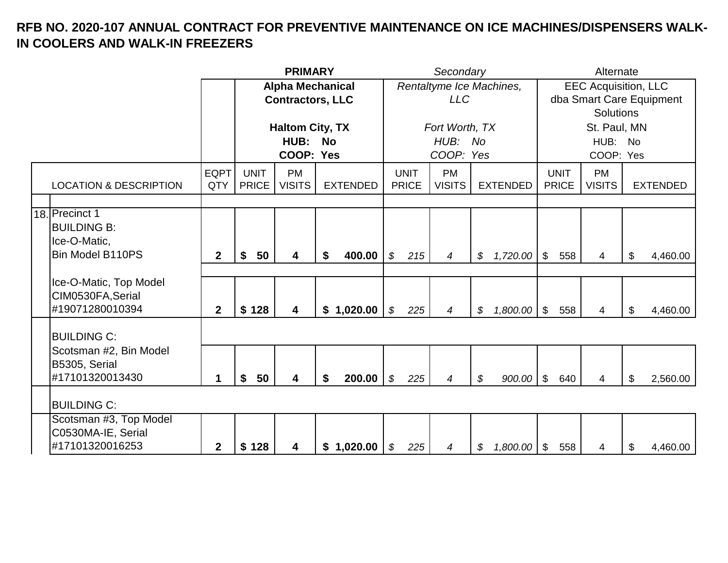|                                                                 |                    |                             | <b>PRIMARY</b>             |    |                 |                            |                             | Secondary                  |                     |               |                             | Alternate                   |                |                          |
|-----------------------------------------------------------------|--------------------|-----------------------------|----------------------------|----|-----------------|----------------------------|-----------------------------|----------------------------|---------------------|---------------|-----------------------------|-----------------------------|----------------|--------------------------|
|                                                                 |                    |                             | <b>Alpha Mechanical</b>    |    |                 |                            |                             | Rentaltyme Ice Machines,   |                     |               |                             | <b>EEC Acquisition, LLC</b> |                |                          |
|                                                                 |                    |                             | <b>Contractors, LLC</b>    |    |                 |                            |                             | <b>LLC</b>                 |                     |               |                             |                             |                | dba Smart Care Equipment |
|                                                                 |                    |                             |                            |    |                 |                            |                             |                            |                     |               |                             | <b>Solutions</b>            |                |                          |
|                                                                 |                    |                             | <b>Haltom City, TX</b>     |    |                 |                            |                             | Fort Worth, TX             |                     |               |                             | St. Paul, MN                |                |                          |
|                                                                 |                    |                             | HUB:                       | No |                 |                            |                             | HUB: No                    |                     |               |                             | HUB:                        | <b>No</b>      |                          |
|                                                                 |                    |                             | COOP: Yes                  |    |                 |                            |                             | COOP: Yes                  |                     |               |                             | COOP: Yes                   |                |                          |
| <b>LOCATION &amp; DESCRIPTION</b>                               | <b>EQPT</b><br>QTY | <b>UNIT</b><br><b>PRICE</b> | <b>PM</b><br><b>VISITS</b> |    | <b>EXTENDED</b> |                            | <b>UNIT</b><br><b>PRICE</b> | <b>PM</b><br><b>VISITS</b> | <b>EXTENDED</b>     |               | <b>UNIT</b><br><b>PRICE</b> | <b>PM</b><br><b>VISITS</b>  |                | <b>EXTENDED</b>          |
|                                                                 |                    |                             |                            |    |                 |                            |                             |                            |                     |               |                             |                             |                |                          |
| 18. Precinct 1<br><b>BUILDING B:</b><br>Ice-O-Matic,            |                    |                             |                            |    |                 |                            |                             |                            |                     |               |                             |                             |                |                          |
| Bin Model B110PS                                                | $\overline{2}$     | 50<br>\$                    | 4                          | \$ | 400.00          | $\boldsymbol{\mathcal{S}}$ | 215                         | $\overline{4}$             | \$<br>1,720.00      | $\sqrt[6]{3}$ | 558                         | 4                           | $\mathfrak{L}$ | 4,460.00                 |
| Ice-O-Matic, Top Model<br>CIM0530FA, Serial<br>#19071280010394  | $\mathbf{2}$       | \$128                       | $\overline{\mathbf{4}}$    |    | \$1,020.00      | $\boldsymbol{\mathcal{S}}$ | 225                         | $\boldsymbol{4}$           | \$<br>$1,800.00$ \$ |               | 558                         | $\overline{4}$              | $\mathbb{S}$   | 4,460.00                 |
|                                                                 |                    |                             |                            |    |                 |                            |                             |                            |                     |               |                             |                             |                |                          |
| <b>BUILDING C:</b>                                              |                    |                             |                            |    |                 |                            |                             |                            |                     |               |                             |                             |                |                          |
| Scotsman #2, Bin Model<br>B5305, Serial<br>#17101320013430      | $\mathbf 1$        | \$<br>50                    | $\overline{\mathbf{4}}$    | \$ | 200.00          | $\boldsymbol{\mathcal{S}}$ | 225                         | $\boldsymbol{4}$           | \$<br>$900.00$ \ \$ |               | 640                         | $\overline{4}$              | $\mathcal{L}$  | 2,560.00                 |
|                                                                 |                    |                             |                            |    |                 |                            |                             |                            |                     |               |                             |                             |                |                          |
| <b>BUILDING C:</b>                                              |                    |                             |                            |    |                 |                            |                             |                            |                     |               |                             |                             |                |                          |
| Scotsman #3, Top Model<br>C0530MA-IE, Serial<br>#17101320016253 | $\mathbf 2$        | \$128                       | $\overline{\mathbf{4}}$    |    | \$1,020.00      | \$                         | 225                         | 4                          | \$<br>$1,800.00$ \$ |               | 558                         | 4                           | \$             | 4,460.00                 |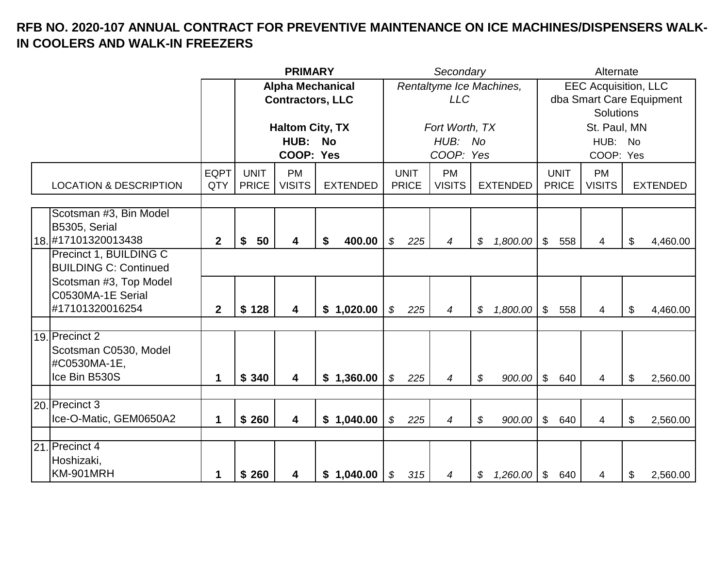|                                                                                                                          |                    |                             | <b>PRIMARY</b>                                     |                 |                                   | Secondary                              |                          |                             | Alternate                            |                                                         |
|--------------------------------------------------------------------------------------------------------------------------|--------------------|-----------------------------|----------------------------------------------------|-----------------|-----------------------------------|----------------------------------------|--------------------------|-----------------------------|--------------------------------------|---------------------------------------------------------|
|                                                                                                                          |                    |                             | <b>Alpha Mechanical</b><br><b>Contractors, LLC</b> |                 |                                   | <b>LLC</b>                             | Rentaltyme Ice Machines, |                             | <b>Solutions</b>                     | <b>EEC Acquisition, LLC</b><br>dba Smart Care Equipment |
|                                                                                                                          |                    |                             | <b>Haltom City, TX</b><br>HUB: No<br>COOP: Yes     |                 |                                   | Fort Worth, TX<br>HUB: No<br>COOP: Yes |                          |                             | St. Paul, MN<br>HUB: No<br>COOP: Yes |                                                         |
| <b>LOCATION &amp; DESCRIPTION</b>                                                                                        | <b>EQPT</b><br>QTY | <b>UNIT</b><br><b>PRICE</b> | <b>PM</b><br><b>VISITS</b>                         | <b>EXTENDED</b> | <b>UNIT</b><br><b>PRICE</b>       | <b>PM</b><br><b>VISITS</b>             | <b>EXTENDED</b>          | <b>UNIT</b><br><b>PRICE</b> | <b>PM</b><br><b>VISITS</b>           | <b>EXTENDED</b>                                         |
| Scotsman #3, Bin Model<br>B5305, Serial<br>18. #17101320013438                                                           | $\mathbf{2}$       | \$<br>50                    | 4                                                  | 400.00<br>\$    | $\boldsymbol{\mathcal{S}}$<br>225 | $\boldsymbol{4}$                       | 1,800.00<br>\$           | $\frac{1}{2}$<br>558        | 4                                    | \$<br>4,460.00                                          |
| Precinct 1, BUILDING C<br><b>BUILDING C: Continued</b><br>Scotsman #3, Top Model<br>C0530MA-1E Serial<br>#17101320016254 | $\mathbf{2}$       | \$128                       | 4                                                  | \$1,020.00      | $\boldsymbol{\mathcal{S}}$<br>225 | $\overline{4}$                         | \$<br>1,800.00           | $\sqrt[6]{2}$<br>558        | 4                                    | \$<br>4,460.00                                          |
| 19. Precinct 2<br>Scotsman C0530, Model<br>#C0530MA-1E,<br>Ice Bin B530S                                                 | 1                  | \$340                       | 4                                                  | \$1,360.00      | $\boldsymbol{\mathcal{S}}$<br>225 | 4                                      | \$<br>900.00             | $\mathfrak{S}$<br>640       | 4                                    | \$<br>2,560.00                                          |
| 20. Precinct 3<br>Ice-O-Matic, GEM0650A2                                                                                 | 1                  | \$260                       | 4                                                  | \$1,040.00      | $\boldsymbol{\mathcal{S}}$<br>225 | $\overline{4}$                         | \$<br>900.00             | $\frac{1}{2}$<br>640        | 4                                    | \$<br>2,560.00                                          |
| 21. Precinct 4<br>Hoshizaki,<br>KM-901MRH                                                                                | 1                  | \$260                       | 4                                                  | \$1,040.00      | \$<br>315                         | 4                                      | 1,260.00<br>\$           | $\sqrt[6]{3}$<br>640        | 4                                    | \$<br>2,560.00                                          |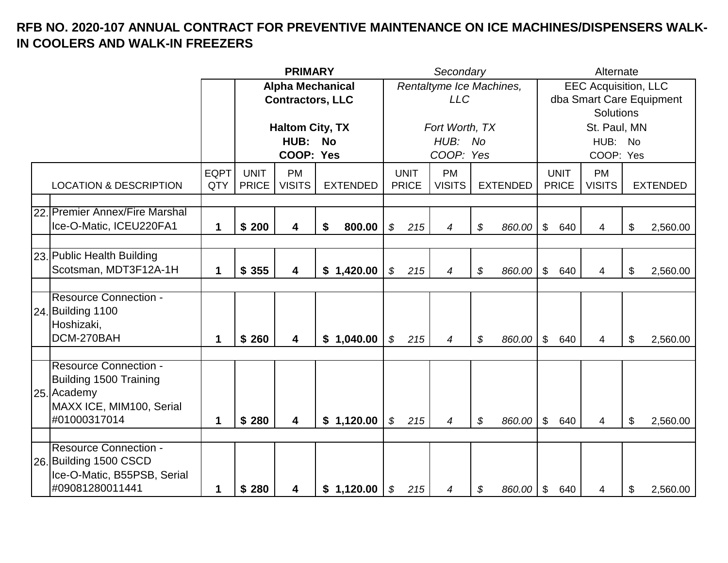|                                   |             |              | <b>PRIMARY</b>          |                 |                            |              | Secondary                |                 |                            |              | Alternate                   |    |                          |
|-----------------------------------|-------------|--------------|-------------------------|-----------------|----------------------------|--------------|--------------------------|-----------------|----------------------------|--------------|-----------------------------|----|--------------------------|
|                                   |             |              | <b>Alpha Mechanical</b> |                 |                            |              | Rentaltyme Ice Machines, |                 |                            |              | <b>EEC Acquisition, LLC</b> |    |                          |
|                                   |             |              | <b>Contractors, LLC</b> |                 |                            |              | <b>LLC</b>               |                 |                            |              |                             |    | dba Smart Care Equipment |
|                                   |             |              |                         |                 |                            |              |                          |                 |                            |              | <b>Solutions</b>            |    |                          |
|                                   |             |              | <b>Haltom City, TX</b>  |                 |                            |              | Fort Worth, TX           |                 |                            |              | St. Paul, MN                |    |                          |
|                                   |             |              | HUB:                    | <b>No</b>       |                            |              | HUB: No                  |                 |                            |              | HUB:                        | No |                          |
|                                   |             |              | COOP: Yes               |                 |                            |              | COOP: Yes                |                 |                            |              | COOP: Yes                   |    |                          |
|                                   | <b>EQPT</b> | <b>UNIT</b>  | <b>PM</b>               |                 |                            | <b>UNIT</b>  | <b>PM</b>                |                 |                            | <b>UNIT</b>  | <b>PM</b>                   |    |                          |
| <b>LOCATION &amp; DESCRIPTION</b> | QTY         | <b>PRICE</b> | <b>VISITS</b>           | <b>EXTENDED</b> |                            | <b>PRICE</b> | <b>VISITS</b>            | <b>EXTENDED</b> |                            | <b>PRICE</b> | <b>VISITS</b>               |    | <b>EXTENDED</b>          |
|                                   |             |              |                         |                 |                            |              |                          |                 |                            |              |                             |    |                          |
| 22. Premier Annex/Fire Marshal    |             |              |                         |                 |                            |              |                          |                 |                            |              |                             |    |                          |
| Ice-O-Matic, ICEU220FA1           | 1           | \$200        | 4                       | \$<br>800.00    | \$                         | 215          | 4                        | \$<br>860.00    | \$                         | 640          | 4                           | \$ | 2,560.00                 |
|                                   |             |              |                         |                 |                            |              |                          |                 |                            |              |                             |    |                          |
| 23. Public Health Building        |             |              |                         |                 |                            |              |                          |                 |                            |              |                             |    |                          |
| Scotsman, MDT3F12A-1H             | 1           | \$355        | 4                       | \$1,420.00      | \$                         | 215          | 4                        | \$<br>860.00    | \$                         | 640          | 4                           | \$ | 2,560.00                 |
|                                   |             |              |                         |                 |                            |              |                          |                 |                            |              |                             |    |                          |
| <b>Resource Connection -</b>      |             |              |                         |                 |                            |              |                          |                 |                            |              |                             |    |                          |
| 24. Building 1100                 |             |              |                         |                 |                            |              |                          |                 |                            |              |                             |    |                          |
| Hoshizaki,                        |             |              |                         |                 |                            |              |                          |                 |                            |              |                             |    |                          |
| DCM-270BAH                        | 1           | \$260        | $\overline{\mathbf{4}}$ | \$1,040.00      | \$                         | 215          | 4                        | \$<br>860.00    | \$                         | 640          | 4                           | \$ | 2,560.00                 |
|                                   |             |              |                         |                 |                            |              |                          |                 |                            |              |                             |    |                          |
| <b>Resource Connection -</b>      |             |              |                         |                 |                            |              |                          |                 |                            |              |                             |    |                          |
| Building 1500 Training            |             |              |                         |                 |                            |              |                          |                 |                            |              |                             |    |                          |
| 25. Academy                       |             |              |                         |                 |                            |              |                          |                 |                            |              |                             |    |                          |
| MAXX ICE, MIM100, Serial          |             |              |                         |                 |                            |              |                          |                 |                            |              |                             |    |                          |
| #01000317014                      | 1           | \$280        | 4                       | \$1,120.00      | $\boldsymbol{\mathcal{S}}$ | 215          | $\overline{4}$           | \$<br>860.00    | $\mathfrak{S}$             | 640          | $\overline{4}$              | \$ | 2,560.00                 |
|                                   |             |              |                         |                 |                            |              |                          |                 |                            |              |                             |    |                          |
| <b>Resource Connection -</b>      |             |              |                         |                 |                            |              |                          |                 |                            |              |                             |    |                          |
| 26. Building 1500 CSCD            |             |              |                         |                 |                            |              |                          |                 |                            |              |                             |    |                          |
| Ice-O-Matic, B55PSB, Serial       |             |              |                         |                 |                            |              |                          |                 |                            |              |                             |    |                          |
| #09081280011441                   | 1           | \$280        | 4                       | \$1,120.00      | \$                         | 215          | 4                        | \$<br>860.00    | $\boldsymbol{\mathsf{\$}}$ | 640          | 4                           | \$ | 2,560.00                 |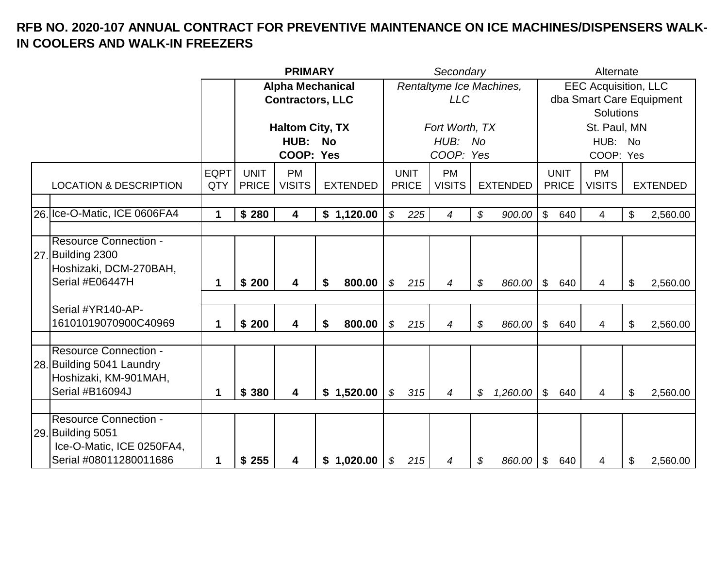|                                   |             |              | <b>PRIMARY</b>          |                 |                            |              | Secondary                |                 |                           |              | Alternate                   |                          |
|-----------------------------------|-------------|--------------|-------------------------|-----------------|----------------------------|--------------|--------------------------|-----------------|---------------------------|--------------|-----------------------------|--------------------------|
|                                   |             |              | <b>Alpha Mechanical</b> |                 |                            |              | Rentaltyme Ice Machines, |                 |                           |              | <b>EEC Acquisition, LLC</b> |                          |
|                                   |             |              | <b>Contractors, LLC</b> |                 |                            |              | <b>LLC</b>               |                 |                           |              |                             | dba Smart Care Equipment |
|                                   |             |              |                         |                 |                            |              |                          |                 |                           |              | <b>Solutions</b>            |                          |
|                                   |             |              | <b>Haltom City, TX</b>  |                 |                            |              | Fort Worth, TX           |                 |                           |              | St. Paul, MN                |                          |
|                                   |             |              | HUB:                    | <b>No</b>       |                            |              | HUB: No                  |                 |                           |              | HUB: No                     |                          |
|                                   |             |              | COOP: Yes               |                 |                            |              | COOP: Yes                |                 |                           |              | COOP: Yes                   |                          |
|                                   | <b>EQPT</b> | <b>UNIT</b>  | <b>PM</b>               |                 |                            | <b>UNIT</b>  | <b>PM</b>                |                 |                           | <b>UNIT</b>  | <b>PM</b>                   |                          |
| <b>LOCATION &amp; DESCRIPTION</b> | QTY         | <b>PRICE</b> | <b>VISITS</b>           | <b>EXTENDED</b> |                            | <b>PRICE</b> | <b>VISITS</b>            | <b>EXTENDED</b> |                           | <b>PRICE</b> | <b>VISITS</b>               | <b>EXTENDED</b>          |
|                                   |             |              |                         |                 |                            |              |                          |                 |                           |              |                             |                          |
| 26. Ice-O-Matic, ICE 0606FA4      | $\mathbf 1$ | \$280        | 4                       | \$1,120.00      | $\mathcal{L}$              | 225          | 4                        | \$<br>900.00    | $\mathfrak{S}$            | 640          | 4                           | \$<br>2,560.00           |
|                                   |             |              |                         |                 |                            |              |                          |                 |                           |              |                             |                          |
| <b>Resource Connection -</b>      |             |              |                         |                 |                            |              |                          |                 |                           |              |                             |                          |
| 27. Building 2300                 |             |              |                         |                 |                            |              |                          |                 |                           |              |                             |                          |
| Hoshizaki, DCM-270BAH,            |             |              |                         |                 |                            |              |                          |                 |                           |              |                             |                          |
| Serial #E06447H                   | 1           | \$200        | 4                       | 800.00<br>\$    | \$                         | 215          | $\overline{4}$           | \$<br>860.00    | \$                        | 640          | 4                           | \$<br>2,560.00           |
|                                   |             |              |                         |                 |                            |              |                          |                 |                           |              |                             |                          |
| Serial #YR140-AP-                 |             |              |                         |                 |                            |              |                          |                 |                           |              |                             |                          |
| 16101019070900C40969              | 1           | \$200        | $\overline{\mathbf{4}}$ | \$<br>800.00    | \$                         | 215          | 4                        | \$<br>860.00    | \$                        | 640          | 4                           | \$<br>2,560.00           |
|                                   |             |              |                         |                 |                            |              |                          |                 |                           |              |                             |                          |
| <b>Resource Connection -</b>      |             |              |                         |                 |                            |              |                          |                 |                           |              |                             |                          |
| 28. Building 5041 Laundry         |             |              |                         |                 |                            |              |                          |                 |                           |              |                             |                          |
| Hoshizaki, KM-901MAH,             |             |              |                         |                 |                            |              |                          |                 |                           |              |                             |                          |
| Serial #B16094J                   | 1           | \$ 380       | 4                       | \$1,520.00      | $\boldsymbol{\mathcal{S}}$ | 315          | $\overline{4}$           | \$<br>1,260.00  | $\mathfrak{S}$            | 640          | 4                           | \$<br>2,560.00           |
|                                   |             |              |                         |                 |                            |              |                          |                 |                           |              |                             |                          |
| <b>Resource Connection -</b>      |             |              |                         |                 |                            |              |                          |                 |                           |              |                             |                          |
| 29. Building 5051                 |             |              |                         |                 |                            |              |                          |                 |                           |              |                             |                          |
| Ice-O-Matic, ICE 0250FA4,         |             |              |                         |                 |                            |              |                          |                 |                           |              |                             |                          |
| Serial #08011280011686            | 1           | \$255        | 4                       | \$1,020.00      | \$                         | 215          | 4                        | \$<br>860.00    | $\boldsymbol{\mathsf{S}}$ | 640          | 4                           | \$<br>2,560.00           |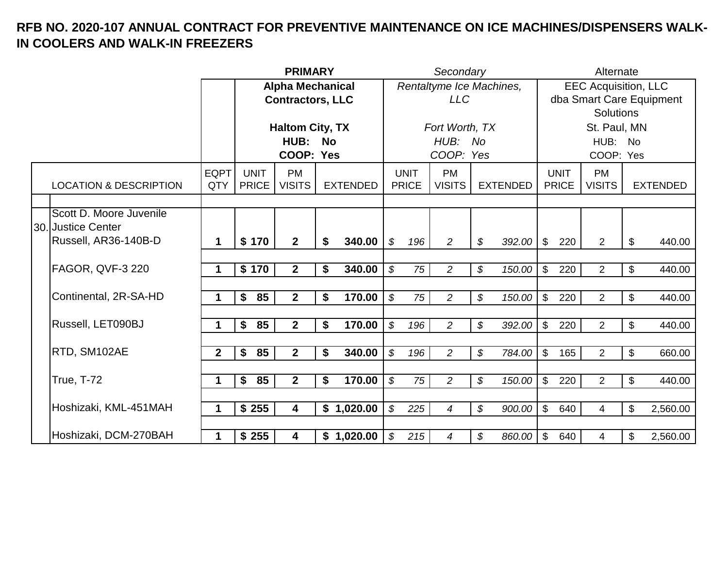|                                               |                    |                             | <b>PRIMARY</b>             |           |                 |                            |                             | Secondary                  |                            |                 |                |                             | Alternate                   |                           |                          |
|-----------------------------------------------|--------------------|-----------------------------|----------------------------|-----------|-----------------|----------------------------|-----------------------------|----------------------------|----------------------------|-----------------|----------------|-----------------------------|-----------------------------|---------------------------|--------------------------|
|                                               |                    |                             | <b>Alpha Mechanical</b>    |           |                 |                            |                             | Rentaltyme Ice Machines,   |                            |                 |                |                             | <b>EEC Acquisition, LLC</b> |                           |                          |
|                                               |                    |                             | <b>Contractors, LLC</b>    |           |                 |                            |                             | <b>LLC</b>                 |                            |                 |                |                             |                             |                           | dba Smart Care Equipment |
|                                               |                    |                             |                            |           |                 |                            |                             |                            |                            |                 |                |                             | <b>Solutions</b>            |                           |                          |
|                                               |                    |                             | <b>Haltom City, TX</b>     |           |                 |                            |                             | Fort Worth, TX             |                            |                 |                |                             | St. Paul, MN                |                           |                          |
|                                               |                    |                             | HUB:                       | <b>No</b> |                 |                            |                             | HUB: No                    |                            |                 |                |                             | HUB: No                     |                           |                          |
|                                               |                    |                             | COOP: Yes                  |           |                 |                            |                             | COOP: Yes                  |                            |                 |                |                             | COOP: Yes                   |                           |                          |
| <b>LOCATION &amp; DESCRIPTION</b>             | <b>EQPT</b><br>QTY | <b>UNIT</b><br><b>PRICE</b> | <b>PM</b><br><b>VISITS</b> |           | <b>EXTENDED</b> |                            | <b>UNIT</b><br><b>PRICE</b> | <b>PM</b><br><b>VISITS</b> |                            | <b>EXTENDED</b> |                | <b>UNIT</b><br><b>PRICE</b> | <b>PM</b><br><b>VISITS</b>  |                           | <b>EXTENDED</b>          |
|                                               |                    |                             |                            |           |                 |                            |                             |                            |                            |                 |                |                             |                             |                           |                          |
| Scott D. Moore Juvenile<br>30. Justice Center |                    |                             |                            |           |                 |                            |                             |                            |                            |                 |                |                             |                             |                           |                          |
| Russell, AR36-140B-D                          | 1                  | \$170                       | 2 <sup>1</sup>             | \$        | 340.00          | \$                         | 196                         | $\overline{a}$             | \$                         | $392.00$ \$     |                | 220                         | $\overline{2}$              | $\boldsymbol{\$}$         | 440.00                   |
|                                               |                    |                             |                            |           |                 |                            |                             |                            |                            |                 |                |                             |                             |                           |                          |
| <b>FAGOR, QVF-3 220</b>                       | 1                  | \$170                       | 2 <sup>1</sup>             | \$        | 340.00          | $\boldsymbol{\mathcal{S}}$ | 75                          | $\overline{a}$             | \$                         | 150.00          | $\mathfrak{S}$ | 220                         | $\overline{2}$              | \$                        | 440.00                   |
| Continental, 2R-SA-HD                         | 1                  | 85<br>\$                    | $\mathbf{2}$               | \$        | 170.00          | $\boldsymbol{\mathcal{S}}$ | 75                          | $\overline{c}$             | \$                         | 150.00          | $\mathfrak{S}$ | 220                         | $\overline{2}$              | \$                        | 440.00                   |
|                                               |                    |                             |                            |           |                 |                            |                             |                            |                            |                 |                |                             |                             |                           |                          |
| Russell, LET090BJ                             | 1                  | 85<br>\$                    | $\overline{2}$             | \$        | 170.00          | $\boldsymbol{\mathcal{S}}$ | 196                         | $\overline{c}$             | $\boldsymbol{\mathcal{S}}$ | 392.00          | $\mathfrak{S}$ | 220                         | $\overline{2}$              | \$                        | 440.00                   |
| RTD, SM102AE                                  | $\overline{2}$     | 85<br>\$                    | $\mathbf{2}$               | \$        | 340.00          | $\boldsymbol{\mathcal{S}}$ | 196                         | $\overline{c}$             | \$                         | 784.00          | $\mathfrak{S}$ | 165                         | $\overline{2}$              | $\boldsymbol{\mathsf{S}}$ | 660.00                   |
|                                               |                    |                             |                            |           |                 |                            |                             |                            |                            |                 |                |                             |                             |                           |                          |
| <b>True, T-72</b>                             | 1                  | \$<br>85                    | 2 <sup>1</sup>             | \$        | 170.00          | $\boldsymbol{\mathcal{S}}$ | 75                          | $\overline{2}$             | $\boldsymbol{\mathcal{S}}$ | 150.00          | $\mathfrak{S}$ | 220                         | $\overline{2}$              | $\mathfrak{S}$            | 440.00                   |
| Hoshizaki, KML-451MAH                         | 1                  | \$255                       | 4                          |           | \$1,020.00      | $\boldsymbol{\mathcal{S}}$ | 225                         | $\overline{4}$             | \$                         | 900.00          | $\mathfrak{S}$ | 640                         | $\overline{\mathcal{A}}$    | \$                        | 2,560.00                 |
|                                               |                    |                             |                            |           |                 |                            |                             |                            |                            |                 |                |                             |                             |                           |                          |
| Hoshizaki, DCM-270BAH                         | 1                  | \$255                       | $\overline{\mathbf{4}}$    |           | \$1,020.00      | \$                         | 215                         | 4                          | \$                         | $860.00$ \ \$   |                | 640                         | 4                           | \$                        | 2,560.00                 |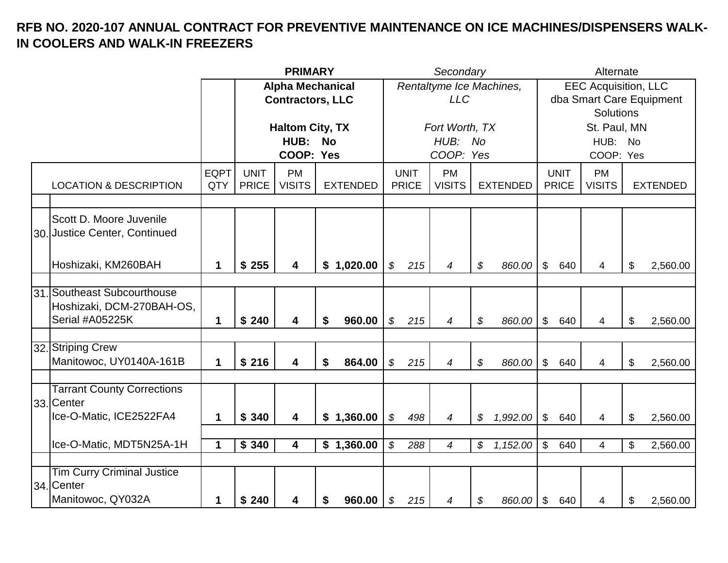|                                   |             |              | <b>PRIMARY</b>          |                 |                            |              | Secondary                |                 |                           |              | Alternate                   |                          |
|-----------------------------------|-------------|--------------|-------------------------|-----------------|----------------------------|--------------|--------------------------|-----------------|---------------------------|--------------|-----------------------------|--------------------------|
|                                   |             |              | <b>Alpha Mechanical</b> |                 |                            |              | Rentaltyme Ice Machines, |                 |                           |              | <b>EEC Acquisition, LLC</b> |                          |
|                                   |             |              | <b>Contractors, LLC</b> |                 |                            |              | <b>LLC</b>               |                 |                           |              |                             | dba Smart Care Equipment |
|                                   |             |              |                         |                 |                            |              |                          |                 |                           |              | <b>Solutions</b>            |                          |
|                                   |             |              | <b>Haltom City, TX</b>  |                 |                            |              | Fort Worth, TX           |                 |                           |              | St. Paul, MN                |                          |
|                                   |             |              | HUB:                    | <b>No</b>       |                            |              | HUB: No                  |                 |                           |              | HUB: No                     |                          |
|                                   |             |              | COOP: Yes               |                 |                            |              | COOP: Yes                |                 |                           |              | COOP: Yes                   |                          |
|                                   | <b>EQPT</b> | <b>UNIT</b>  | <b>PM</b>               |                 |                            | <b>UNIT</b>  | <b>PM</b>                |                 |                           | <b>UNIT</b>  | <b>PM</b>                   |                          |
| <b>LOCATION &amp; DESCRIPTION</b> | QTY         | <b>PRICE</b> | <b>VISITS</b>           | <b>EXTENDED</b> |                            | <b>PRICE</b> | <b>VISITS</b>            | <b>EXTENDED</b> |                           | <b>PRICE</b> | <b>VISITS</b>               | <b>EXTENDED</b>          |
|                                   |             |              |                         |                 |                            |              |                          |                 |                           |              |                             |                          |
| Scott D. Moore Juvenile           |             |              |                         |                 |                            |              |                          |                 |                           |              |                             |                          |
| 30. Justice Center, Continued     |             |              |                         |                 |                            |              |                          |                 |                           |              |                             |                          |
|                                   |             |              |                         |                 |                            |              |                          |                 |                           |              |                             |                          |
|                                   |             |              |                         |                 |                            |              |                          |                 |                           |              |                             |                          |
| Hoshizaki, KM260BAH               | 1           | \$255        | 4                       | \$1,020.00      | \$                         | 215          | 4                        | \$<br>860.00    | $\mathfrak{S}$            | 640          | 4                           | \$<br>2,560.00           |
|                                   |             |              |                         |                 |                            |              |                          |                 |                           |              |                             |                          |
| 31. Southeast Subcourthouse       |             |              |                         |                 |                            |              |                          |                 |                           |              |                             |                          |
| Hoshizaki, DCM-270BAH-OS,         |             |              |                         |                 |                            |              |                          |                 |                           |              |                             |                          |
| Serial #A05225K                   | 1           | \$240        | 4                       | 960.00<br>\$    | \$                         | 215          | 4                        | \$<br>860.00    | $\mathfrak{L}$            | 640          | 4                           | \$<br>2,560.00           |
|                                   |             |              |                         |                 |                            |              |                          |                 |                           |              |                             |                          |
| 32. Striping Crew                 |             |              |                         |                 |                            |              |                          |                 |                           |              |                             |                          |
| Manitowoc, UY0140A-161B           | 1           | \$216        | 4                       | 864.00<br>\$    | \$                         | 215          | 4                        | \$<br>860.00    | \$                        | 640          | 4                           | \$<br>2,560.00           |
|                                   |             |              |                         |                 |                            |              |                          |                 |                           |              |                             |                          |
| <b>Tarrant County Corrections</b> |             |              |                         |                 |                            |              |                          |                 |                           |              |                             |                          |
| 33. Center                        |             |              |                         |                 |                            |              |                          |                 |                           |              |                             |                          |
| Ice-O-Matic, ICE2522FA4           | 1           | \$340        | $\overline{\mathbf{4}}$ | \$1,360.00      | $\boldsymbol{\mathcal{S}}$ | 498          | 4                        | \$<br>1,992.00  | $\mathbb{S}$              | 640          | 4                           | \$<br>2,560.00           |
|                                   |             |              |                         |                 |                            |              |                          |                 |                           |              |                             |                          |
| Ice-O-Matic, MDT5N25A-1H          | 1           | \$340        | $\overline{\mathbf{4}}$ | \$1,360.00      | $\boldsymbol{\mathcal{S}}$ | 288          | 4                        | \$<br>1,152.00  | $\boldsymbol{\mathsf{S}}$ | 640          | 4                           | \$<br>2,560.00           |
|                                   |             |              |                         |                 |                            |              |                          |                 |                           |              |                             |                          |
| <b>Tim Curry Criminal Justice</b> |             |              |                         |                 |                            |              |                          |                 |                           |              |                             |                          |
| 34. Center                        |             |              |                         |                 |                            |              |                          |                 |                           |              |                             |                          |
| Manitowoc, QY032A                 | 1           | \$240        | 4                       | 960.00<br>\$    | \$                         | 215          | 4                        | \$<br>860.00    | \$                        | 640          | 4                           | \$<br>2,560.00           |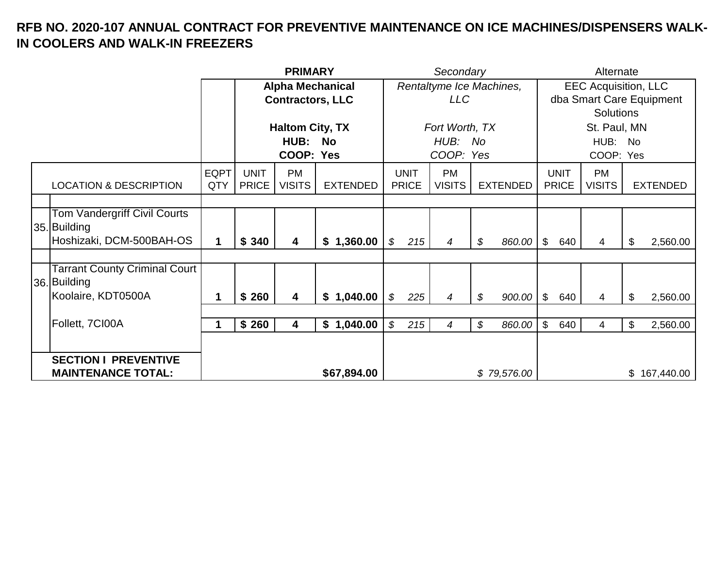|  |                                      |             |                          | <b>PRIMARY</b>          |                 |                | Secondary                |    | Alternate                   |                |                          |                |               |                 |  |  |
|--|--------------------------------------|-------------|--------------------------|-------------------------|-----------------|----------------|--------------------------|----|-----------------------------|----------------|--------------------------|----------------|---------------|-----------------|--|--|
|  |                                      |             | <b>Alpha Mechanical</b>  |                         |                 |                | Rentaltyme Ice Machines, |    | <b>EEC Acquisition, LLC</b> |                |                          |                |               |                 |  |  |
|  |                                      |             | <b>Contractors, LLC</b>  |                         |                 | LLC            |                          |    |                             |                | dba Smart Care Equipment |                |               |                 |  |  |
|  |                                      |             |                          |                         |                 |                |                          |    |                             |                | <b>Solutions</b>         |                |               |                 |  |  |
|  |                                      |             | <b>Haltom City, TX</b>   |                         |                 | Fort Worth, TX |                          |    |                             |                | St. Paul, MN             |                |               |                 |  |  |
|  |                                      |             | <b>HUB:</b><br><b>No</b> |                         |                 | HUB: No        |                          |    |                             |                | HUB: No                  |                |               |                 |  |  |
|  |                                      |             | COOP: Yes                |                         |                 | COOP: Yes      |                          |    |                             |                | COOP: Yes                |                |               |                 |  |  |
|  |                                      | <b>EQPT</b> | <b>UNIT</b>              | <b>PM</b>               |                 | <b>UNIT</b>    | <b>PM</b>                |    |                             |                | <b>UNIT</b>              | <b>PM</b>      |               |                 |  |  |
|  | <b>LOCATION &amp; DESCRIPTION</b>    | QTY         | <b>PRICE</b>             | <b>VISITS</b>           | <b>EXTENDED</b> | <b>PRICE</b>   | <b>VISITS</b>            |    | <b>EXTENDED</b>             |                | <b>PRICE</b>             | <b>VISITS</b>  |               | <b>EXTENDED</b> |  |  |
|  |                                      |             |                          |                         |                 |                |                          |    |                             |                |                          |                |               |                 |  |  |
|  | Tom Vandergriff Civil Courts         |             |                          |                         |                 |                |                          |    |                             |                |                          |                |               |                 |  |  |
|  | 35. Building                         |             |                          |                         |                 |                |                          |    |                             |                |                          |                |               |                 |  |  |
|  | Hoshizaki, DCM-500BAH-OS             | 1           | \$340                    | $\overline{\mathbf{4}}$ | \$1,360.00      | 215<br>\$      | 4                        | \$ | 860.00 \$                   |                | 640                      | 4              | \$            | 2,560.00        |  |  |
|  |                                      |             |                          |                         |                 |                |                          |    |                             |                |                          |                |               |                 |  |  |
|  | <b>Tarrant County Criminal Court</b> |             |                          |                         |                 |                |                          |    |                             |                |                          |                |               |                 |  |  |
|  | 36. Building                         |             |                          |                         |                 |                |                          |    |                             |                |                          |                |               |                 |  |  |
|  | Koolaire, KDT0500A                   | 1           | \$260                    | 4                       | \$1,040.00      | \$<br>225      | 4                        | \$ | $900.00$ \$                 |                | 640                      | $\overline{4}$ | $\mathcal{L}$ | 2,560.00        |  |  |
|  |                                      |             |                          |                         |                 |                |                          |    |                             |                |                          |                |               |                 |  |  |
|  | Follett, 7CI00A                      |             | \$260                    | 4                       | \$1,040.00      | 215<br>\$      | 4                        | \$ | 860.00                      | $\mathfrak{S}$ | 640                      | 4              | \$            | 2,560.00        |  |  |
|  |                                      |             |                          |                         |                 |                |                          |    |                             |                |                          |                |               |                 |  |  |
|  | <b>SECTION I PREVENTIVE</b>          |             |                          |                         |                 |                |                          |    |                             |                |                          |                |               |                 |  |  |
|  | <b>MAINTENANCE TOTAL:</b>            |             |                          |                         | \$67,894.00     | \$79,576.00    |                          |    |                             |                | \$167,440.00             |                |               |                 |  |  |